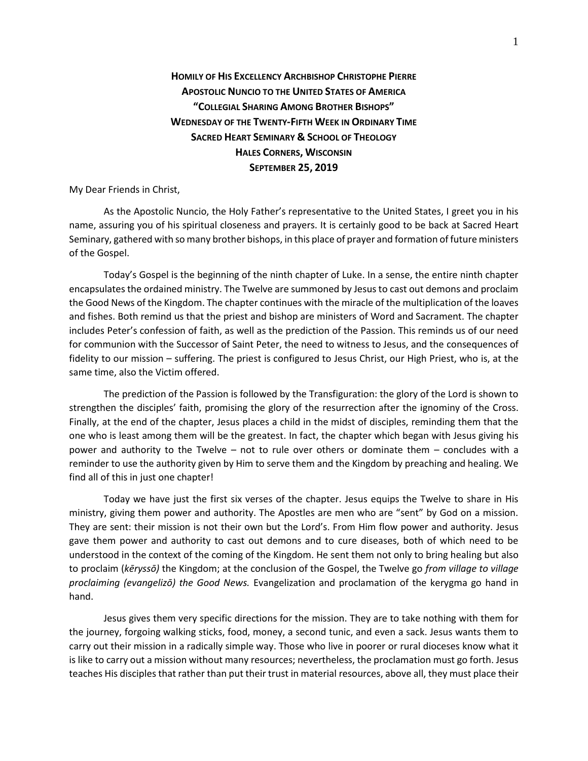## **HOMILY OF HIS EXCELLENCY ARCHBISHOP CHRISTOPHE PIERRE APOSTOLIC NUNCIO TO THE UNITED STATES OF AMERICA "COLLEGIAL SHARING AMONG BROTHER BISHOPS" WEDNESDAY OF THE TWENTY-FIFTH WEEK IN ORDINARY TIME SACRED HEART SEMINARY & SCHOOL OF THEOLOGY HALES CORNERS, WISCONSIN SEPTEMBER 25, 2019**

My Dear Friends in Christ,

As the Apostolic Nuncio, the Holy Father's representative to the United States, I greet you in his name, assuring you of his spiritual closeness and prayers. It is certainly good to be back at Sacred Heart Seminary, gathered with so many brother bishops, in this place of prayer and formation of future ministers of the Gospel.

Today's Gospel is the beginning of the ninth chapter of Luke. In a sense, the entire ninth chapter encapsulates the ordained ministry. The Twelve are summoned by Jesus to cast out demons and proclaim the Good News of the Kingdom. The chapter continues with the miracle of the multiplication of the loaves and fishes. Both remind us that the priest and bishop are ministers of Word and Sacrament. The chapter includes Peter's confession of faith, as well as the prediction of the Passion. This reminds us of our need for communion with the Successor of Saint Peter, the need to witness to Jesus, and the consequences of fidelity to our mission – suffering. The priest is configured to Jesus Christ, our High Priest, who is, at the same time, also the Victim offered.

The prediction of the Passion is followed by the Transfiguration: the glory of the Lord is shown to strengthen the disciples' faith, promising the glory of the resurrection after the ignominy of the Cross. Finally, at the end of the chapter, Jesus places a child in the midst of disciples, reminding them that the one who is least among them will be the greatest. In fact, the chapter which began with Jesus giving his power and authority to the Twelve – not to rule over others or dominate them – concludes with a reminder to use the authority given by Him to serve them and the Kingdom by preaching and healing. We find all of this in just one chapter!

Today we have just the first six verses of the chapter. Jesus equips the Twelve to share in His ministry, giving them power and authority. The Apostles are men who are "sent" by God on a mission. They are sent: their mission is not their own but the Lord's. From Him flow power and authority. Jesus gave them power and authority to cast out demons and to cure diseases, both of which need to be understood in the context of the coming of the Kingdom. He sent them not only to bring healing but also to proclaim (*kēryssō)* the Kingdom; at the conclusion of the Gospel, the Twelve go *from village to village proclaiming (evangelizō) the Good News.* Evangelization and proclamation of the kerygma go hand in hand.

Jesus gives them very specific directions for the mission. They are to take nothing with them for the journey, forgoing walking sticks, food, money, a second tunic, and even a sack. Jesus wants them to carry out their mission in a radically simple way. Those who live in poorer or rural dioceses know what it is like to carry out a mission without many resources; nevertheless, the proclamation must go forth. Jesus teaches His disciples that rather than put their trust in material resources, above all, they must place their